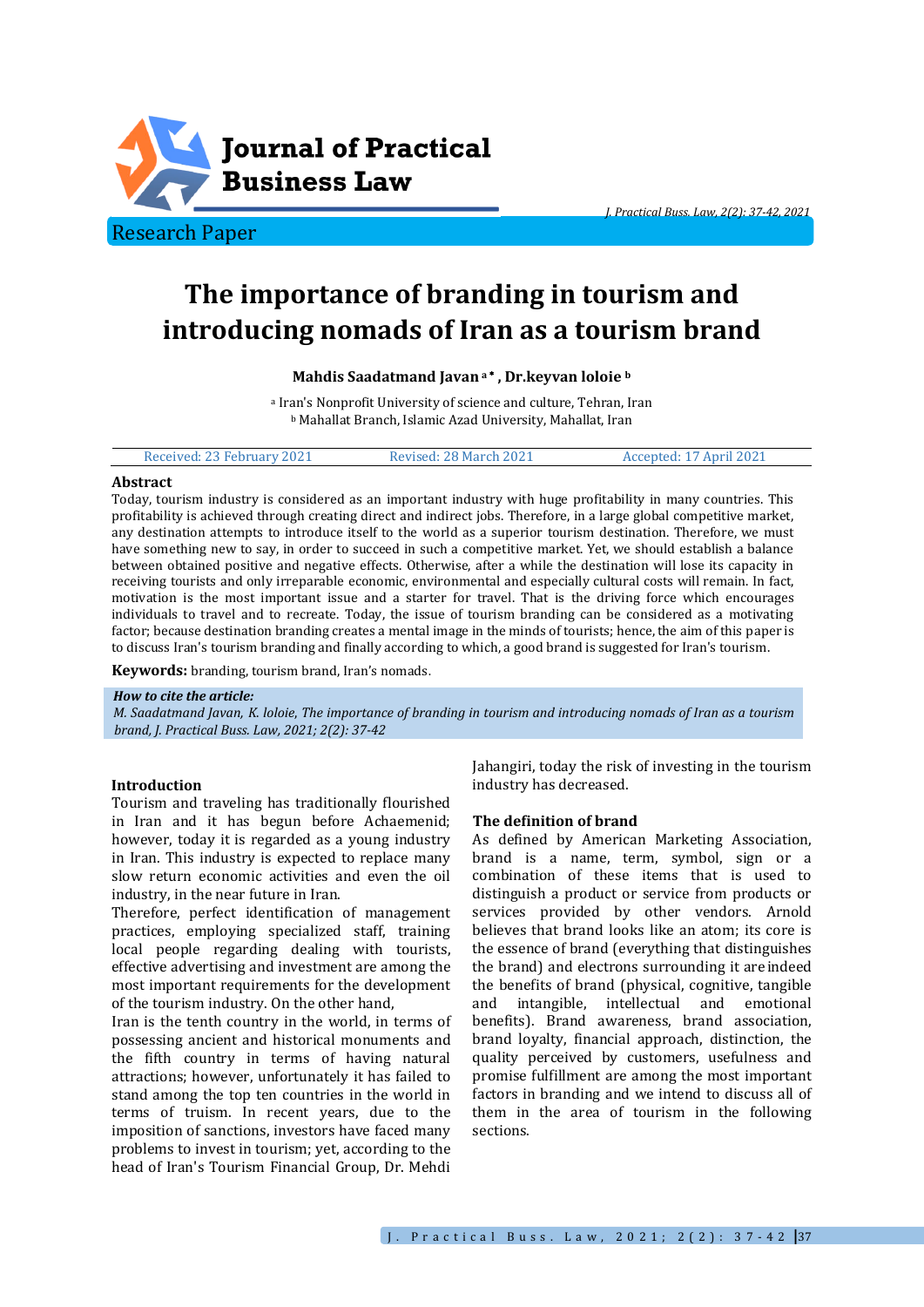

# **The importance of branding in tourism and introducing nomads of Iran as a tourism brand**

## **Mahdis Saadatmand Javan <sup>a</sup> , Dr.keyvan loloie <sup>b</sup>**

<sup>a</sup> Iran's Nonprofit University of science and culture, Tehran, Iran <sup>b</sup> Mahallat Branch, Islamic Azad University, Mahallat, Iran

| Accepted: 17 April 2021<br>Received: 23 February 2021<br>Revised: 28 March 2021 |  |
|---------------------------------------------------------------------------------|--|
|---------------------------------------------------------------------------------|--|

## **Abstract**

Today, tourism industry is considered as an important industry with huge profitability in many countries. This profitability is achieved through creating direct and indirect jobs. Therefore, in a large global competitive market, any destination attempts to introduce itself to the world as a superior tourism destination. Therefore, we must have something new to say, in order to succeed in such a competitive market. Yet, we should establish a balance between obtained positive and negative effects. Otherwise, after a while the destination will lose its capacity in receiving tourists and only irreparable economic, environmental and especially cultural costs will remain. In fact, motivation is the most important issue and a starter for travel. That is the driving force which encourages individuals to travel and to recreate. Today, the issue of tourism branding can be considered as a motivating factor; because destination branding creates a mental image in the minds of tourists; hence, the aim of this paper is to discuss Iran's tourism branding and finally according to which, a good brand is suggested for Iran's tourism.

**Keywords:** branding, tourism brand, Iran's nomads.

#### *How to cite the article:*

*M. Saadatmand Javan, K*. *loloie*, *The importance of branding in tourism and introducing nomads of Iran as a tourism brand, J. Practical Buss. Law, 2021; 2(2): 37-42*

#### **Introduction**

Tourism and traveling has traditionally flourished in Iran and it has begun before Achaemenid; however, today it is regarded as a young industry in Iran. This industry is expected to replace many slow return economic activities and even the oil industry, in the near future in Iran.

Therefore, perfect identification of management practices, employing specialized staff, training local people regarding dealing with tourists, effective advertising and investment are among the most important requirements for the development of the tourism industry. On the other hand,

Iran is the tenth country in the world, in terms of possessing ancient and historical monuments and the fifth country in terms of having natural attractions; however, unfortunately it has failed to stand among the top ten countries in the world in terms of truism. In recent years, due to the imposition of sanctions, investors have faced many problems to invest in tourism; yet, according to the head of Iran's Tourism Financial Group, Dr. Mehdi

Jahangiri, today the risk of investing in the tourism industry has decreased.

*J. Practical Buss. Law, 2(2): 37-42, 2021*

## **The definition of brand**

As defined by American Marketing Association, brand is a name, term, symbol, sign or a combination of these items that is used to distinguish a product or service from products or services provided by other vendors. Arnold believes that brand looks like an atom; its core is the essence of brand (everything that distinguishes the brand) and electrons surrounding it areindeed the benefits of brand (physical, cognitive, tangible and intangible, intellectual and emotional benefits). Brand awareness, brand association, brand loyalty, financial approach, distinction, the quality perceived by customers, usefulness and promise fulfillment are among the most important factors in branding and we intend to discuss all of them in the area of tourism in the following sections.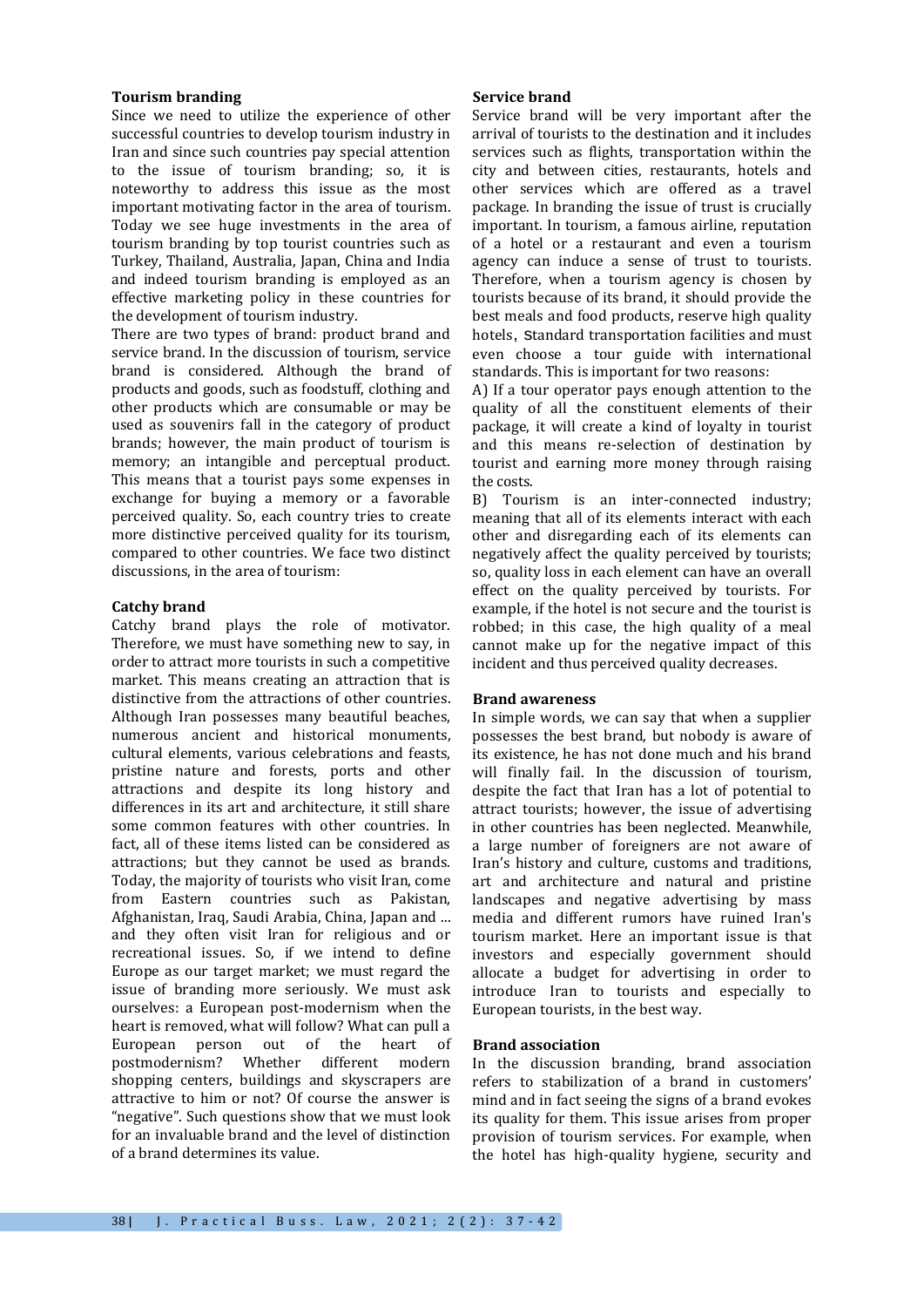## **Tourism branding**

Since we need to utilize the experience of other successful countries to develop tourism industry in Iran and since such countries pay special attention to the issue of tourism branding; so, it is noteworthy to address this issue as the most important motivating factor in the area of tourism. Today we see huge investments in the area of tourism branding by top tourist countries such as Turkey, Thailand, Australia, Japan, China and India and indeed tourism branding is employed as an effective marketing policy in these countries for the development of tourism industry.

There are two types of brand: product brand and service brand. In the discussion of tourism, service brand is considered. Although the brand of products and goods, such as foodstuff, clothing and other products which are consumable or may be used as souvenirs fall in the category of product brands; however, the main product of tourism is memory; an intangible and perceptual product. This means that a tourist pays some expenses in exchange for buying a memory or a favorable perceived quality. So, each country tries to create more distinctive perceived quality for its tourism, compared to other countries. We face two distinct discussions, in the area of tourism:

## **Catchy brand**

Catchy brand plays the role of motivator. Therefore, we must have something new to say, in order to attract more tourists in such a competitive market. This means creating an attraction that is distinctive from the attractions of other countries. Although Iran possesses many beautiful beaches, numerous ancient and historical monuments, cultural elements, various celebrations and feasts, pristine nature and forests, ports and other attractions and despite its long history and differences in its art and architecture, it still share some common features with other countries. In fact, all of these items listed can be considered as attractions; but they cannot be used as brands. Today, the majority of tourists who visit Iran, come from Eastern countries such as Pakistan, Afghanistan, Iraq, Saudi Arabia, China, Japan and ... and they often visit Iran for religious and or recreational issues. So, if we intend to define Europe as our target market; we must regard the issue of branding more seriously. We must ask ourselves: a European post-modernism when the heart is removed, what will follow? What can pull a European person out of the heart of postmodernism? Whether different modern shopping centers, buildings and skyscrapers are attractive to him or not? Of course the answer is "negative". Such questions show that we must look for an invaluable brand and the level of distinction of a brand determines its value.

## **Service brand**

Service brand will be very important after the arrival of tourists to the destination and it includes services such as flights, transportation within the city and between cities, restaurants, hotels and other services which are offered as a travel package. In branding the issue of trust is crucially important. In tourism, a famous airline, reputation of a hotel or a restaurant and even a tourism agency can induce a sense of trust to tourists. Therefore, when a tourism agency is chosen by tourists because of its brand, it should provide the best meals and food products, reserve high quality hotels, standard transportation facilities and must even choose a tour guide with international standards. This is important for two reasons:

A) If a tour operator pays enough attention to the quality of all the constituent elements of their package, it will create a kind of loyalty in tourist and this means re-selection of destination by tourist and earning more money through raising the costs.

B) Tourism is an inter-connected industry; meaning that all of its elements interact with each other and disregarding each of its elements can negatively affect the quality perceived by tourists; so, quality loss in each element can have an overall effect on the quality perceived by tourists. For example, if the hotel is not secure and the tourist is robbed; in this case, the high quality of a meal cannot make up for the negative impact of this incident and thus perceived quality decreases.

#### **Brand awareness**

In simple words, we can say that when a supplier possesses the best brand, but nobody is aware of its existence, he has not done much and his brand will finally fail. In the discussion of tourism, despite the fact that Iran has a lot of potential to attract tourists; however, the issue of advertising in other countries has been neglected. Meanwhile, a large number of foreigners are not aware of Iran's history and culture, customs and traditions, art and architecture and natural and pristine landscapes and negative advertising by mass media and different rumors have ruined Iran's tourism market. Here an important issue is that investors and especially government should allocate a budget for advertising in order to introduce Iran to tourists and especially to European tourists, in the best way.

## **Brand association**

In the discussion branding, brand association refers to stabilization of a brand in customers' mind and in fact seeing the signs of a brand evokes its quality for them. This issue arises from proper provision of tourism services. For example, when the hotel has high-quality hygiene, security and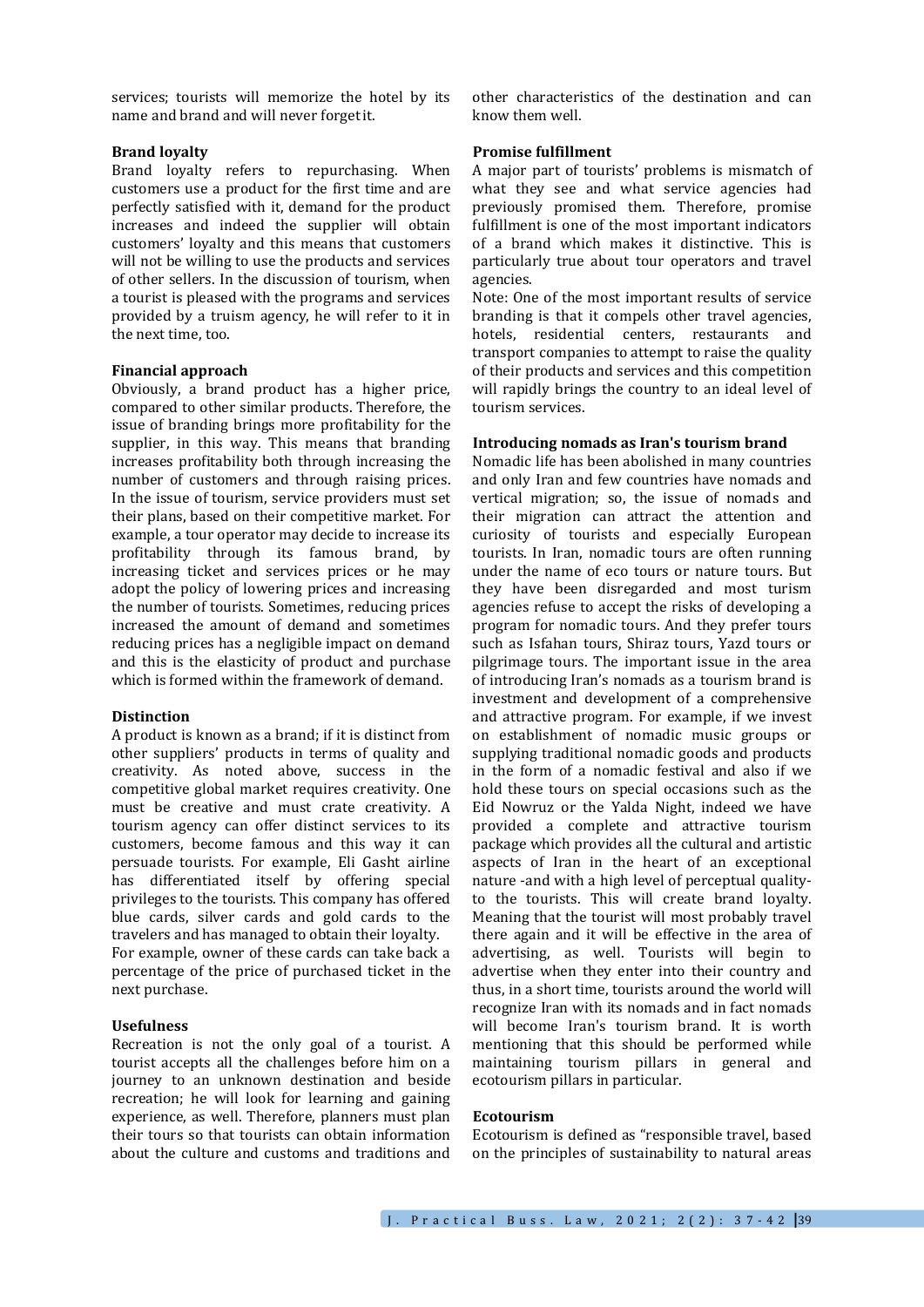services; tourists will memorize the hotel by its name and brand and will never forgetit.

## **Brand loyalty**

Brand loyalty refers to repurchasing. When customers use a product for the first time and are perfectly satisfied with it, demand for the product increases and indeed the supplier will obtain customers' loyalty and this means that customers will not be willing to use the products and services of other sellers. In the discussion of tourism, when a tourist is pleased with the programs and services provided by a truism agency, he will refer to it in the next time, too.

## **Financial approach**

Obviously, a brand product has a higher price, compared to other similar products. Therefore, the issue of branding brings more profitability for the supplier, in this way. This means that branding increases profitability both through increasing the number of customers and through raising prices. In the issue of tourism, service providers must set their plans, based on their competitive market. For example, a tour operator may decide to increase its profitability through its famous brand, by increasing ticket and services prices or he may adopt the policy of lowering prices and increasing the number of tourists. Sometimes, reducing prices increased the amount of demand and sometimes reducing prices has a negligible impact on demand and this is the elasticity of product and purchase which is formed within the framework of demand.

#### **Distinction**

A product is known as a brand; if it is distinct from other suppliers' products in terms of quality and creativity. As noted above, success in the competitive global market requires creativity. One must be creative and must crate creativity. A tourism agency can offer distinct services to its customers, become famous and this way it can persuade tourists. For example, Eli Gasht airline has differentiated itself by offering special privileges to the tourists. This company has offered blue cards, silver cards and gold cards to the travelers and has managed to obtain their loyalty.

For example, owner of these cards can take back a percentage of the price of purchased ticket in the next purchase.

## **Usefulness**

Recreation is not the only goal of a tourist. A tourist accepts all the challenges before him on a journey to an unknown destination and beside recreation; he will look for learning and gaining experience, as well. Therefore, planners must plan their tours so that tourists can obtain information about the culture and customs and traditions and

other characteristics of the destination and can know them well.

#### **Promise fulfillment**

A major part of tourists' problems is mismatch of what they see and what service agencies had previously promised them. Therefore, promise fulfillment is one of the most important indicators of a brand which makes it distinctive. This is particularly true about tour operators and travel agencies.

Note: One of the most important results of service branding is that it compels other travel agencies, hotels, residential centers, restaurants and transport companies to attempt to raise the quality of their products and services and this competition will rapidly brings the country to an ideal level of tourism services.

#### **Introducing nomads as Iran's tourism brand**

Nomadic life has been abolished in many countries and only Iran and few countries have nomads and vertical migration; so, the issue of nomads and their migration can attract the attention and curiosity of tourists and especially European tourists. In Iran, nomadic tours are often running under the name of eco tours or nature tours. But they have been disregarded and most turism agencies refuse to accept the risks of developing a program for nomadic tours. And they prefer tours such as Isfahan tours, Shiraz tours, Yazd tours or pilgrimage tours. The important issue in the area of introducing Iran's nomads as a tourism brand is investment and development of a comprehensive and attractive program. For example, if we invest on establishment of nomadic music groups or supplying traditional nomadic goods and products in the form of a nomadic festival and also if we hold these tours on special occasions such as the Eid Nowruz or the Yalda Night, indeed we have provided a complete and attractive tourism package which provides all the cultural and artistic aspects of Iran in the heart of an exceptional nature -and with a high level of perceptual qualityto the tourists. This will create brand loyalty. Meaning that the tourist will most probably travel there again and it will be effective in the area of advertising, as well. Tourists will begin to advertise when they enter into their country and thus, in a short time, tourists around the world will recognize Iran with its nomads and in fact nomads will become Iran's tourism brand. It is worth mentioning that this should be performed while maintaining tourism pillars in general and ecotourism pillars in particular.

## **Ecotourism**

Ecotourism is defined as "responsible travel, based on the principles of sustainability to natural areas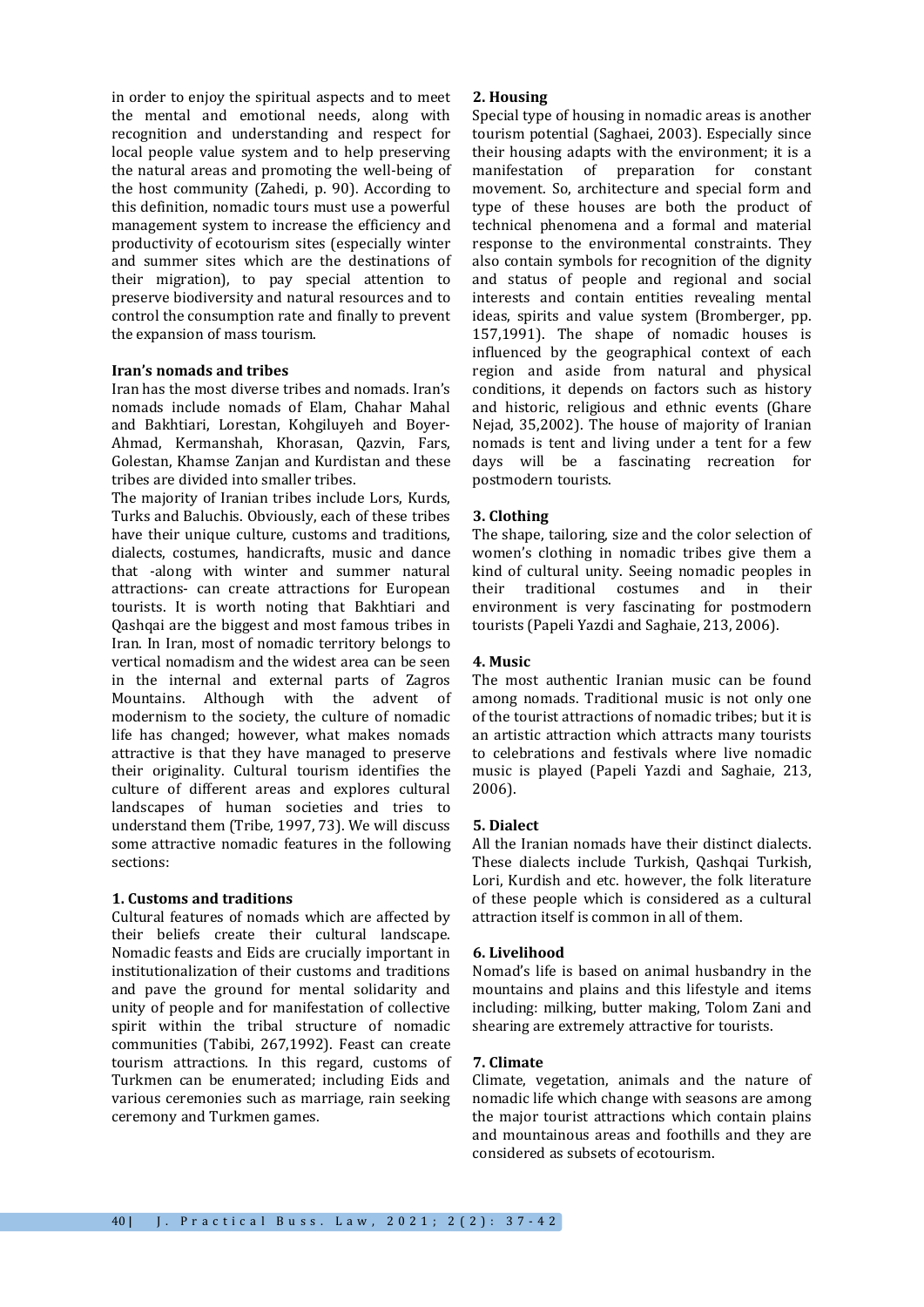in order to enjoy the spiritual aspects and to meet the mental and emotional needs, along with recognition and understanding and respect for local people value system and to help preserving the natural areas and promoting the well-being of the host community (Zahedi, p. 90). According to this definition, nomadic tours must use a powerful management system to increase the efficiency and productivity of ecotourism sites (especially winter and summer sites which are the destinations of their migration), to pay special attention to preserve biodiversity and natural resources and to control the consumption rate and finally to prevent the expansion of mass tourism.

## **Iran's nomads and tribes**

Iran has the most diverse tribes and nomads. Iran's nomads include nomads of Elam, Chahar Mahal and Bakhtiari, Lorestan, Kohgiluyeh and Boyer-Ahmad, Kermanshah, Khorasan, Qazvin, Fars, Golestan, Khamse Zanjan and Kurdistan and these tribes are divided into smaller tribes.

The majority of Iranian tribes include Lors, Kurds, Turks and Baluchis. Obviously, each of these tribes have their unique culture, customs and traditions, dialects, costumes, handicrafts, music and dance that -along with winter and summer natural attractions- can create attractions for European tourists. It is worth noting that Bakhtiari and Qashqai are the biggest and most famous tribes in Iran. In Iran, most of nomadic territory belongs to vertical nomadism and the widest area can be seen in the internal and external parts of Zagros Mountains. Although with the advent of modernism to the society, the culture of nomadic life has changed; however, what makes nomads attractive is that they have managed to preserve their originality. Cultural tourism identifies the culture of different areas and explores cultural landscapes of human societies and tries to understand them (Tribe, 1997, 73). We will discuss some attractive nomadic features in the following sections:

# **1. Customs and traditions**

Cultural features of nomads which are affected by their beliefs create their cultural landscape. Nomadic feasts and Eids are crucially important in institutionalization of their customs and traditions and pave the ground for mental solidarity and unity of people and for manifestation of collective spirit within the tribal structure of nomadic communities (Tabibi, 267,1992). Feast can create tourism attractions. In this regard, customs of Turkmen can be enumerated; including Eids and various ceremonies such as marriage, rain seeking ceremony and Turkmen games.

## **2. Housing**

Special type of housing in nomadic areas is another tourism potential (Saghaei, 2003). Especially since their housing adapts with the environment; it is a manifestation of preparation for constant movement. So, architecture and special form and type of these houses are both the product of technical phenomena and a formal and material response to the environmental constraints. They also contain symbols for recognition of the dignity and status of people and regional and social interests and contain entities revealing mental ideas, spirits and value system (Bromberger, pp. 157,1991). The shape of nomadic houses is influenced by the geographical context of each region and aside from natural and physical conditions, it depends on factors such as history and historic, religious and ethnic events (Ghare Nejad, 35,2002). The house of majority of Iranian nomads is tent and living under a tent for a few days will be a fascinating recreation for postmodern tourists.

# **3. Clothing**

The shape, tailoring, size and the color selection of women's clothing in nomadic tribes give them a kind of cultural unity. Seeing nomadic peoples in their traditional costumes and in their environment is very fascinating for postmodern tourists (Papeli Yazdi and Saghaie, 213, 2006).

# **4. Music**

The most authentic Iranian music can be found among nomads. Traditional music is not only one of the tourist attractions of nomadic tribes; but it is an artistic attraction which attracts many tourists to celebrations and festivals where live nomadic music is played (Papeli Yazdi and Saghaie, 213, 2006).

# **5. Dialect**

All the Iranian nomads have their distinct dialects. These dialects include Turkish, Qashqai Turkish, Lori, Kurdish and etc. however, the folk literature of these people which is considered as a cultural attraction itself is common in all of them.

# **6. Livelihood**

Nomad's life is based on animal husbandry in the mountains and plains and this lifestyle and items including: milking, butter making, Tolom Zani and shearing are extremely attractive for tourists.

## **7. Climate**

Climate, vegetation, animals and the nature of nomadic life which change with seasons are among the major tourist attractions which contain plains and mountainous areas and foothills and they are considered as subsets of ecotourism.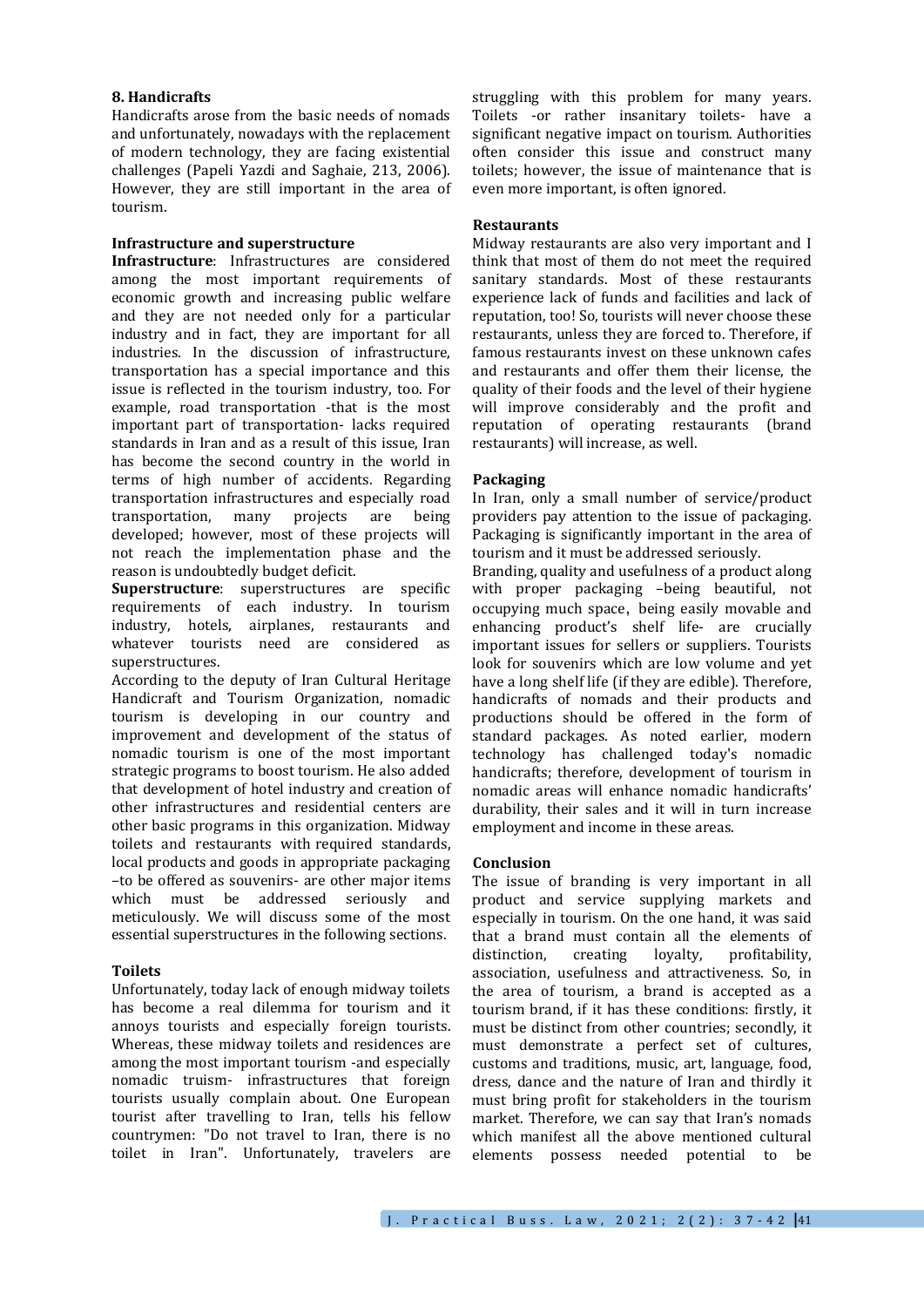## **8. Handicrafts**

Handicrafts arose from the basic needs of nomads and unfortunately, nowadays with the replacement of modern technology, they are facing existential challenges (Papeli Yazdi and Saghaie, 213, 2006). However, they are still important in the area of tourism.

## **Infrastructure and superstructure**

**Infrastructure**: Infrastructures are considered among the most important requirements of economic growth and increasing public welfare and they are not needed only for a particular industry and in fact, they are important for all industries. In the discussion of infrastructure, transportation has a special importance and this issue is reflected in the tourism industry, too. For example, road transportation -that is the most important part of transportation- lacks required standards in Iran and as a result of this issue, Iran has become the second country in the world in terms of high number of accidents. Regarding transportation infrastructures and especially road transportation, many projects are being developed; however, most of these projects will not reach the implementation phase and the reason is undoubtedly budget deficit.

**Superstructure**: superstructures are specific requirements of each industry. In tourism industry, hotels, airplanes, restaurants and whatever tourists need are considered as superstructures.

According to the deputy of Iran Cultural Heritage Handicraft and Tourism Organization, nomadic tourism is developing in our country and improvement and development of the status of nomadic tourism is one of the most important strategic programs to boost tourism. He also added that development of hotel industry and creation of other infrastructures and residential centers are other basic programs in this organization. Midway toilets and restaurants with required standards, local products and goods in appropriate packaging –to be offered as souvenirs- are other major items which must be addressed seriously and meticulously. We will discuss some of the most essential superstructures in the following sections.

# **Toilets**

Unfortunately, today lack of enough midway toilets has become a real dilemma for tourism and it annoys tourists and especially foreign tourists. Whereas, these midway toilets and residences are among the most important tourism -and especially nomadic truism- infrastructures that foreign tourists usually complain about. One European tourist after travelling to Iran, tells his fellow countrymen: "Do not travel to Iran, there is no toilet in Iran". Unfortunately, travelers are

struggling with this problem for many years. Toilets -or rather insanitary toilets- have a significant negative impact on tourism. Authorities often consider this issue and construct many toilets; however, the issue of maintenance that is even more important, is often ignored.

## **Restaurants**

Midway restaurants are also very important and I think that most of them do not meet the required sanitary standards. Most of these restaurants experience lack of funds and facilities and lack of reputation, too! So, tourists will never choose these restaurants, unless they are forced to. Therefore, if famous restaurants invest on these unknown cafes and restaurants and offer them their license, the quality of their foods and the level of their hygiene will improve considerably and the profit and reputation of operating restaurants (brand restaurants) will increase, as well.

## **Packaging**

In Iran, only a small number of service/product providers pay attention to the issue of packaging. Packaging is significantly important in the area of tourism and it must be addressed seriously.

Branding, quality and usefulness of a product along with proper packaging –being beautiful, not occupying much space, being easily movable and enhancing product's shelf life- are crucially important issues for sellers or suppliers. Tourists look for souvenirs which are low volume and yet have a long shelf life (if they are edible). Therefore, handicrafts of nomads and their products and productions should be offered in the form of standard packages. As noted earlier, modern technology has challenged today's nomadic handicrafts; therefore, development of tourism in nomadic areas will enhance nomadic handicrafts' durability, their sales and it will in turn increase employment and income in these areas.

## **Conclusion**

The issue of branding is very important in all product and service supplying markets and especially in tourism. On the one hand, it was said that a brand must contain all the elements of distinction, creating loyalty, profitability, association, usefulness and attractiveness. So, in the area of tourism, a brand is accepted as a tourism brand, if it has these conditions: firstly, it must be distinct from other countries; secondly, it must demonstrate a perfect set of cultures, customs and traditions, music, art, language, food, dress, dance and the nature of Iran and thirdly it must bring profit for stakeholders in the tourism market. Therefore, we can say that Iran's nomads which manifest all the above mentioned cultural elements possess needed potential to be